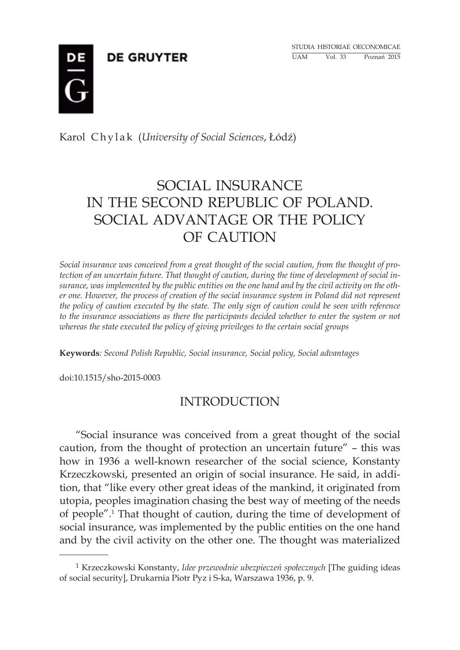**DE GRUYTER** 

Studia historiae oeconomicae UAM Vol. 33 Poznań 2015



Karol C h y l a k (*University of Social Sciences*, Łódź)

# SOCIAL INSURANCE IN THE SECOND REPUBLIC OF POLAND. SOCIAL ADVANTAGE OR THE POLICY OF CAUTION

*Social insurance was conceived from a great thought of the social caution, from the thought of protection of an uncertain future. That thought of caution, during the time of development of social insurance, was implemented by the public entities on the one hand and by the civil activity on the other one. However, the process of creation of the social insurance system in Poland did not represent the policy of caution executed by the state. The only sign of caution could be seen with reference to the insurance associations as there the participants decided whether to enter the system or not whereas the state executed the policy of giving privileges to the certain social groups*

**Keywords***: Second Polish Republic, Social insurance, Social policy, Social advantages*

doi:10.1515/sho-2015-0003

#### INTRODUCTION

"Social insurance was conceived from a great thought of the social caution, from the thought of protection an uncertain future" – this was how in 1936 a well-known researcher of the social science, Konstanty Krzeczkowski, presented an origin of social insurance. He said, in addition, that "like every other great ideas of the mankind, it originated from utopia, peoples imagination chasing the best way of meeting of the needs of people".1 That thought of caution, during the time of development of social insurance, was implemented by the public entities on the one hand and by the civil activity on the other one. The thought was materialized

<sup>1</sup> Krzeczkowski Konstanty, *Idee przewodnie ubezpieczeń społecznych* [The guiding ideas of social security], Drukarnia Piotr Pyz i S-ka, Warszawa 1936, p. 9.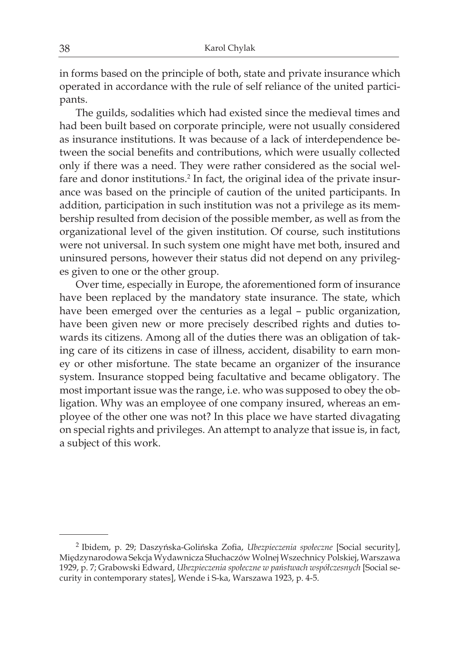in forms based on the principle of both, state and private insurance which operated in accordance with the rule of self reliance of the united participants.

The guilds, sodalities which had existed since the medieval times and had been built based on corporate principle, were not usually considered as insurance institutions. It was because of a lack of interdependence between the social benefits and contributions, which were usually collected only if there was a need. They were rather considered as the social welfare and donor institutions.<sup>2</sup> In fact, the original idea of the private insurance was based on the principle of caution of the united participants. In addition, participation in such institution was not a privilege as its membership resulted from decision of the possible member, as well as from the organizational level of the given institution. Of course, such institutions were not universal. In such system one might have met both, insured and uninsured persons, however their status did not depend on any privileges given to one or the other group.

Over time, especially in Europe, the aforementioned form of insurance have been replaced by the mandatory state insurance. The state, which have been emerged over the centuries as a legal – public organization, have been given new or more precisely described rights and duties towards its citizens. Among all of the duties there was an obligation of taking care of its citizens in case of illness, accident, disability to earn money or other misfortune. The state became an organizer of the insurance system. Insurance stopped being facultative and became obligatory. The most important issue was the range, i.e. who was supposed to obey the obligation. Why was an employee of one company insured, whereas an employee of the other one was not? In this place we have started divagating on special rights and privileges. An attempt to analyze that issue is, in fact, a subject of this work.

<sup>2</sup> Ibidem, p. 29; Daszyńska-Golińska Zofia, *Ubezpieczenia społeczne* [Social security], Międzynarodowa Sekcja Wydawnicza Słuchaczów Wolnej Wszechnicy Polskiej, Warszawa 1929, p. 7; Grabowski Edward, *Ubezpieczenia społeczne w państwach współczesnych* [Social security in contemporary states], Wende i S-ka, Warszawa 1923, p. 4-5.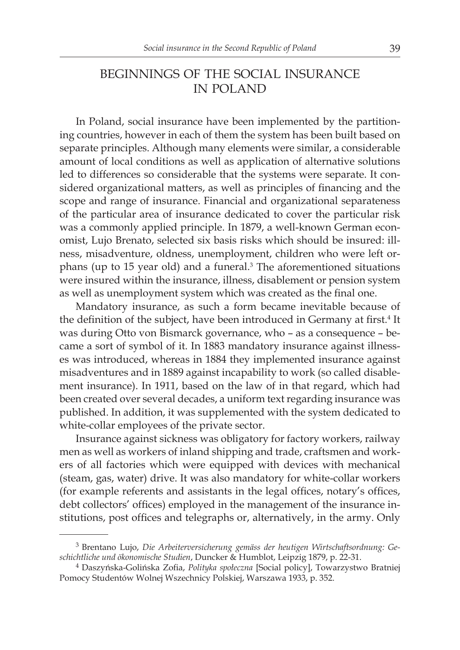### BEGINNINGS OF THE SOCIAL INSURANCE IN POLAND

In Poland, social insurance have been implemented by the partitioning countries, however in each of them the system has been built based on separate principles. Although many elements were similar, a considerable amount of local conditions as well as application of alternative solutions led to differences so considerable that the systems were separate. It considered organizational matters, as well as principles of financing and the scope and range of insurance. Financial and organizational separateness of the particular area of insurance dedicated to cover the particular risk was a commonly applied principle. In 1879, a well-known German economist, Lujo Brenato, selected six basis risks which should be insured: illness, misadventure, oldness, unemployment, children who were left orphans (up to 15 year old) and a funeral.<sup>3</sup> The aforementioned situations were insured within the insurance, illness, disablement or pension system as well as unemployment system which was created as the final one.

Mandatory insurance, as such a form became inevitable because of the definition of the subject, have been introduced in Germany at first.<sup>4</sup> It was during Otto von Bismarck governance, who – as a consequence – became a sort of symbol of it. In 1883 mandatory insurance against illnesses was introduced, whereas in 1884 they implemented insurance against misadventures and in 1889 against incapability to work (so called disablement insurance). In 1911, based on the law of in that regard, which had been created over several decades, a uniform text regarding insurance was published. In addition, it was supplemented with the system dedicated to white-collar employees of the private sector.

Insurance against sickness was obligatory for factory workers, railway men as well as workers of inland shipping and trade, craftsmen and workers of all factories which were equipped with devices with mechanical (steam, gas, water) drive. It was also mandatory for white-collar workers (for example referents and assistants in the legal offices, notary's offices, debt collectors' offices) employed in the management of the insurance institutions, post offices and telegraphs or, alternatively, in the army. Only

<sup>3</sup>Brentano Lujo, *Die Arbeiterversicherung gemäss der heutigen Wirtschaftsordnung: Geschichtliche und ökonomische Studien*, Duncker & Humblot, Leipzig 1879, p. 22-31.

<sup>4</sup> Daszyńska-Golińska Zofia, *Polityka społeczna* [Social policy], Towarzystwo Bratniej Pomocy Studentów Wolnej Wszechnicy Polskiej, Warszawa 1933, p. 352.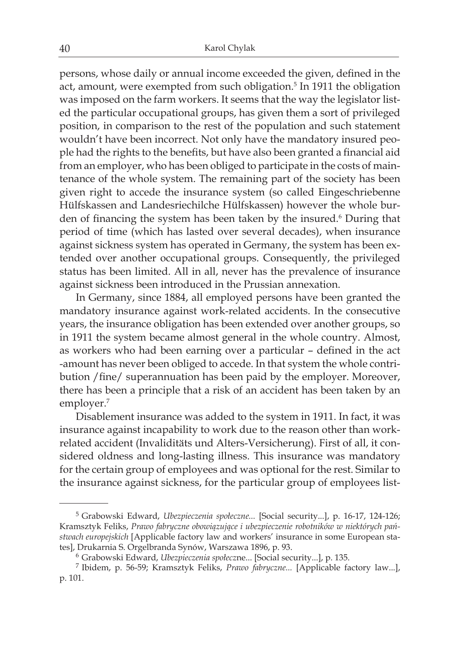persons, whose daily or annual income exceeded the given, defined in the act, amount, were exempted from such obligation.<sup>5</sup> In 1911 the obligation was imposed on the farm workers. It seems that the way the legislator listed the particular occupational groups, has given them a sort of privileged position, in comparison to the rest of the population and such statement wouldn't have been incorrect. Not only have the mandatory insured people had the rights to the benefits, but have also been granted a financial aid from an employer, who has been obliged to participate in the costs of maintenance of the whole system. The remaining part of the society has been given right to accede the insurance system (so called Eingeschriebenne Hülfskassen and Landesriechilche Hülfskassen) however the whole burden of financing the system has been taken by the insured.<sup>6</sup> During that period of time (which has lasted over several decades), when insurance against sickness system has operated in Germany, the system has been extended over another occupational groups. Consequently, the privileged status has been limited. All in all, never has the prevalence of insurance against sickness been introduced in the Prussian annexation.

In Germany, since 1884, all employed persons have been granted the mandatory insurance against work-related accidents. In the consecutive years, the insurance obligation has been extended over another groups, so in 1911 the system became almost general in the whole country. Almost, as workers who had been earning over a particular – defined in the act -amount has never been obliged to accede. In that system the whole contribution /fine/ superannuation has been paid by the employer. Moreover, there has been a principle that a risk of an accident has been taken by an employer.<sup>7</sup>

Disablement insurance was added to the system in 1911. In fact, it was insurance against incapability to work due to the reason other than workrelated accident (Invaliditäts und Alters-Versicherung). First of all, it considered oldness and long-lasting illness. This insurance was mandatory for the certain group of employees and was optional for the rest. Similar to the insurance against sickness, for the particular group of employees list-

<sup>5</sup> Grabowski Edward, *Ubezpieczenia społeczne...* [Social security...], p. 16-17, 124-126; Kramsztyk Feliks, *Prawo fabryczne obowiązujące i ubezpieczenie robotników w niektórych państwach europejskich* [Applicable factory law and workers' insurance in some European states], Drukarnia S. Orgelbranda Synów, Warszawa 1896, p. 93.

<sup>6</sup>Grabowski Edward, *Ubezpieczenia społecz*ne... [Social security...], p. 135.

<sup>7</sup> Ibidem, p. 56-59; Kramsztyk Feliks, *Prawo fabryczne...* [Applicable factory law...], p. 101.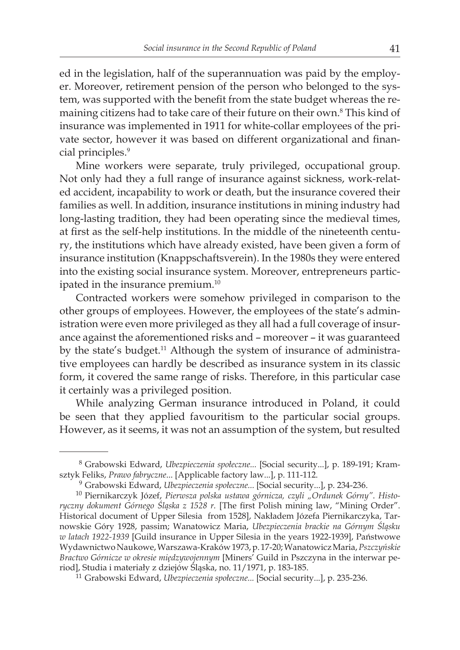ed in the legislation, half of the superannuation was paid by the employer. Moreover, retirement pension of the person who belonged to the system, was supported with the benefit from the state budget whereas the remaining citizens had to take care of their future on their own.8 This kind of insurance was implemented in 1911 for white-collar employees of the private sector, however it was based on different organizational and financial principles.<sup>9</sup>

Mine workers were separate, truly privileged, occupational group. Not only had they a full range of insurance against sickness, work-related accident, incapability to work or death, but the insurance covered their families as well. In addition, insurance institutions in mining industry had long-lasting tradition, they had been operating since the medieval times, at first as the self-help institutions. In the middle of the nineteenth century, the institutions which have already existed, have been given a form of insurance institution (Knappschaftsverein). In the 1980s they were entered into the existing social insurance system. Moreover, entrepreneurs participated in the insurance premium.<sup>10</sup>

Contracted workers were somehow privileged in comparison to the other groups of employees. However, the employees of the state's administration were even more privileged as they all had a full coverage of insurance against the aforementioned risks and – moreover – it was guaranteed by the state's budget.<sup>11</sup> Although the system of insurance of administrative employees can hardly be described as insurance system in its classic form, it covered the same range of risks. Therefore, in this particular case it certainly was a privileged position.

While analyzing German insurance introduced in Poland, it could be seen that they applied favouritism to the particular social groups. However, as it seems, it was not an assumption of the system, but resulted

<sup>8</sup>Grabowski Edward, *Ubezpieczenia społeczne...* [Social security...], p. 189-191; Kramsztyk Feliks, *Prawo fabryczne*... [Applicable factory law...], p. 111-112.

<sup>9</sup>Grabowski Edward, *Ubezpieczenia społeczne...* [Social security...], p. 234-236.

<sup>10</sup> Piernikarczyk Józef, *Pierwsza polska ustawa górnicza, czyli "Ordunek Górny"*. *Historyczny dokument Górnego Śląska z 1528 r.* [The first Polish mining law, "Mining Order". Historical document of Upper Silesia from 1528], Nakładem Józefa Piernikarczyka, Tarnowskie Góry 1928, passim; Wanatowicz Maria, *Ubezpieczenia brackie na Górnym Śląsku w latach 1922-1939* [Guild insurance in Upper Silesia in the years 1922-1939], Państwowe Wydawnictwo Naukowe, Warszawa-Kraków 1973, p. 17-20; Wanatowicz Maria, *Pszczyńskie Bractwo Górnicze w okresie międzywojennym* [Miners' Guild in Pszczyna in the interwar period], Studia i materiały z dziejów Śląska, no. 11/1971, p. 183-185.

<sup>&</sup>lt;sup>11</sup> Grabowski Edward, *Ubezpieczenia społeczne...* [Social security...], p. 235-236.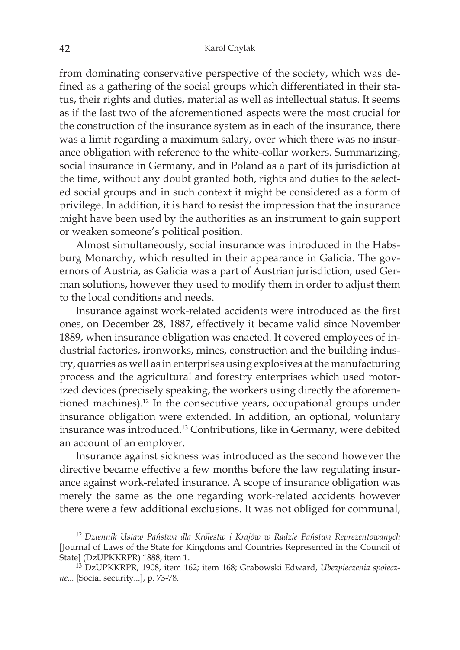from dominating conservative perspective of the society, which was defined as a gathering of the social groups which differentiated in their status, their rights and duties, material as well as intellectual status. It seems as if the last two of the aforementioned aspects were the most crucial for the construction of the insurance system as in each of the insurance, there was a limit regarding a maximum salary, over which there was no insurance obligation with reference to the white-collar workers. Summarizing, social insurance in Germany, and in Poland as a part of its jurisdiction at the time, without any doubt granted both, rights and duties to the selected social groups and in such context it might be considered as a form of privilege. In addition, it is hard to resist the impression that the insurance might have been used by the authorities as an instrument to gain support or weaken someone's political position.

Almost simultaneously, social insurance was introduced in the Habsburg Monarchy, which resulted in their appearance in Galicia. The governors of Austria, as Galicia was a part of Austrian jurisdiction, used German solutions, however they used to modify them in order to adjust them to the local conditions and needs.

Insurance against work-related accidents were introduced as the first ones, on December 28, 1887, effectively it became valid since November 1889, when insurance obligation was enacted. It covered employees of industrial factories, ironworks, mines, construction and the building industry, quarries as well as in enterprises using explosives at the manufacturing process and the agricultural and forestry enterprises which used motorized devices (precisely speaking, the workers using directly the aforementioned machines).<sup>12</sup> In the consecutive years, occupational groups under insurance obligation were extended. In addition, an optional, voluntary insurance was introduced.13 Contributions, like in Germany, were debited an account of an employer.

Insurance against sickness was introduced as the second however the directive became effective a few months before the law regulating insurance against work-related insurance. A scope of insurance obligation was merely the same as the one regarding work-related accidents however there were a few additional exclusions. It was not obliged for communal,

<sup>12</sup> *Dziennik Ustaw Państwa dla Królestw i Krajów w Radzie Państwa Reprezentowanych* [Journal of Laws of the State for Kingdoms and Countries Represented in the Council of State] (DzUPKKRPR) 1888, item 1.

<sup>13</sup> DzUPKKRPR, 1908, item 162; item 168; Grabowski Edward, *Ubezpieczenia społeczne...* [Social security...], p. 73-78.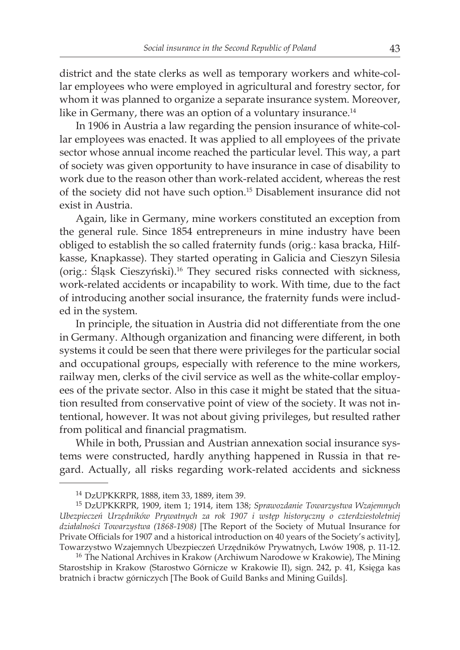district and the state clerks as well as temporary workers and white-collar employees who were employed in agricultural and forestry sector, for whom it was planned to organize a separate insurance system. Moreover, like in Germany, there was an option of a voluntary insurance.<sup>14</sup>

In 1906 in Austria a law regarding the pension insurance of white-collar employees was enacted. It was applied to all employees of the private sector whose annual income reached the particular level. This way, a part of society was given opportunity to have insurance in case of disability to work due to the reason other than work-related accident, whereas the rest of the society did not have such option.<sup>15</sup> Disablement insurance did not exist in Austria.

Again, like in Germany, mine workers constituted an exception from the general rule. Since 1854 entrepreneurs in mine industry have been obliged to establish the so called fraternity funds (orig.: kasa bracka, Hilfkasse, Knapkasse). They started operating in Galicia and Cieszyn Silesia (orig.: Śląsk Cieszyński).16 They secured risks connected with sickness, work-related accidents or incapability to work. With time, due to the fact of introducing another social insurance, the fraternity funds were included in the system.

In principle, the situation in Austria did not differentiate from the one in Germany. Although organization and financing were different, in both systems it could be seen that there were privileges for the particular social and occupational groups, especially with reference to the mine workers, railway men, clerks of the civil service as well as the white-collar employees of the private sector. Also in this case it might be stated that the situation resulted from conservative point of view of the society. It was not intentional, however. It was not about giving privileges, but resulted rather from political and financial pragmatism.

While in both, Prussian and Austrian annexation social insurance systems were constructed, hardly anything happened in Russia in that regard. Actually, all risks regarding work-related accidents and sickness

<sup>14</sup> DzUPKKRPR, 1888, item 33, 1889, item 39.

<sup>15</sup> DzUPKKRPR, 1909, item 1; 1914, item 138; *Sprawozdanie Towarzystwa Wzajemnych Ubezpieczeń Urzędników Prywatnych za rok 1907 i wstęp historyczny o czterdziestoletniej działalności Towarzystwa (1868-1908)* [The Report of the Society of Mutual Insurance for Private Officials for 1907 and a historical introduction on 40 years of the Society's activity], Towarzystwo Wzajemnych Ubezpieczeń Urzędników Prywatnych, Lwów 1908, p. 11-12.

<sup>&</sup>lt;sup>16</sup> The National Archives in Krakow (Archiwum Narodowe w Krakowie), The Mining Starostship in Krakow (Starostwo Górnicze w Krakowie II), sign. 242, p. 41, Księga kas bratnich i bractw górniczych [The Book of Guild Banks and Mining Guilds].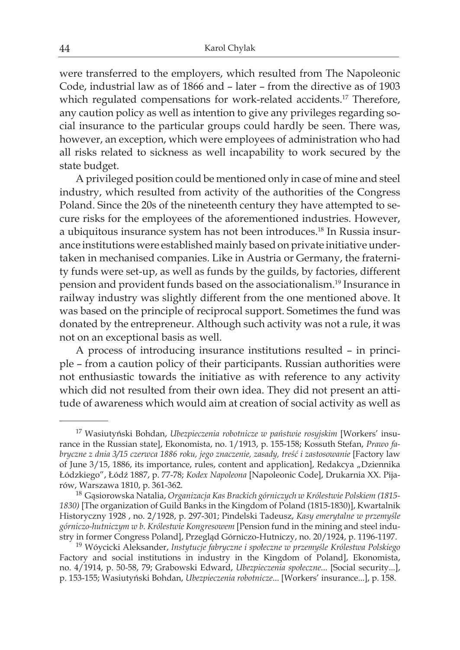were transferred to the employers, which resulted from The Napoleonic Code, industrial law as of 1866 and – later – from the directive as of 1903 which regulated compensations for work-related accidents.<sup>17</sup> Therefore, any caution policy as well as intention to give any privileges regarding social insurance to the particular groups could hardly be seen. There was, however, an exception, which were employees of administration who had all risks related to sickness as well incapability to work secured by the state budget.

A privileged position could be mentioned only in case of mine and steel industry, which resulted from activity of the authorities of the Congress Poland. Since the 20s of the nineteenth century they have attempted to secure risks for the employees of the aforementioned industries. However, a ubiquitous insurance system has not been introduces.18 In Russia insurance institutions were established mainly based on private initiative undertaken in mechanised companies. Like in Austria or Germany, the fraternity funds were set-up, as well as funds by the guilds, by factories, different pension and provident funds based on the associationalism.19 Insurance in railway industry was slightly different from the one mentioned above. It was based on the principle of reciprocal support. Sometimes the fund was donated by the entrepreneur. Although such activity was not a rule, it was not on an exceptional basis as well.

A process of introducing insurance institutions resulted – in principle – from a caution policy of their participants. Russian authorities were not enthusiastic towards the initiative as with reference to any activity which did not resulted from their own idea. They did not present an attitude of awareness which would aim at creation of social activity as well as

<sup>17</sup> Wasiutyński Bohdan, *Ubezpieczenia robotnicze w państwie rosyjskim* [Workers' insurance in the Russian state], Ekonomista, no. 1/1913, p. 155-158; Kossuth Stefan, *Prawo fabryczne z dnia 3/15 czerwca 1886 roku, jego znaczenie, zasady, treść i zastosowanie* [Factory law of June 3/15, 1886, its importance, rules, content and application], Redakcya "Dziennika Łódzkiego", Łódź 1887, p. 77-78; *Kodex Napoleona* [Napoleonic Code], Drukarnia XX. Pijarów, Warszawa 1810, p. 361-362.

<sup>18</sup> Gąsiorowska Natalia, *Organizacja Kas Brackich górniczych w Królestwie Polskiem (1815- 1830)* [The organization of Guild Banks in the Kingdom of Poland (1815-1830)], Kwartalnik Historyczny 1928 , no. 2/1928, p. 297-301; Pindelski Tadeusz, *Kasy emerytalne w przemyśle górniczo-hutniczym w b. Królestwie Kongresowem* [Pension fund in the mining and steel industry in former Congress Poland], Przegląd Górniczo-Hutniczy, no. 20/1924, p. 1196-1197.

<sup>19</sup> Wóycicki Aleksander, *Instytucje fabryczne i społeczne w przemyśle Królestwa Polskiego*  Factory and social institutions in industry in the Kingdom of Poland], Ekonomista, no. 4/1914, p. 50-58, 79; Grabowski Edward, *Ubezpieczenia społeczne.*.. [Social security...], p. 153-155; Wasiutyński Bohdan, *Ubezpieczenia robotnicze*... [Workers' insurance...], p. 158.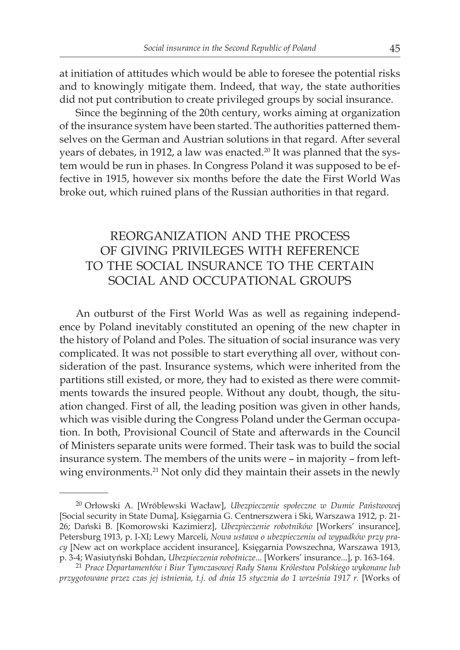at initiation of attitudes which would be able to foresee the potential risks and to knowingly mitigate them. Indeed, that way, the state authorities did not put contribution to create privileged groups by social insurance.

Since the beginning of the 20th century, works aiming at organization of the insurance system have been started. The authorities patterned themselves on the German and Austrian solutions in that regard. After several years of debates, in 1912, a law was enacted.<sup>20</sup> It was planned that the system would be run in phases. In Congress Poland it was supposed to be effective in 1915, however six months before the date the First World Was broke out, which ruined plans of the Russian authorities in that regard.

## REORGANIZATION AND THE PROCESS OF GIVING PRIVILEGES WITH REFERENCE TO THE SOCIAL INSURANCE TO THE CERTAIN social and occupational groups

An outburst of the First World Was as well as regaining independence by Poland inevitably constituted an opening of the new chapter in the history of Poland and Poles. The situation of social insurance was very complicated. It was not possible to start everything all over, without consideration of the past. Insurance systems, which were inherited from the partitions still existed, or more, they had to existed as there were commitments towards the insured people. Without any doubt, though, the situation changed. First of all, the leading position was given in other hands, which was visible during the Congress Poland under the German occupation. In both, Provisional Council of State and afterwards in the Council of Ministers separate units were formed. Their task was to build the social insurance system. The members of the units were – in majority – from leftwing environments.<sup>21</sup> Not only did they maintain their assets in the newly

<sup>20</sup> Orłowski A. [Wróblewski Wacław], *Ubezpieczenie społeczne w Dumie Państwowe*j [Social security in State Duma], Księgarnia G. Centnerszwera i Ski, Warszawa 1912, p. 21- 26; Dański B. [Komorowski Kazimierz], *Ubezpieczenie robotników* [Workers' insurance], Petersburg 1913, p. I-XI; Lewy Marceli, *Nowa ustawa o ubezpieczeniu od wypadków przy pracy* [New act on workplace accident insurance], Księgarnia Powszechna, Warszawa 1913, p. 3-4; Wasiutyński Bohdan, *Ubezpieczenia robotnicze*... [Workers' insurance...], p. 163-164.

<sup>21</sup> *Prace Departamentów i Biur Tymczasowej Rady Stanu Królestwa Polskiego wykonane lub przygotowane przez czas jej istnienia, t.j. od dnia 15 stycznia do 1 września 1917 r.* [Works of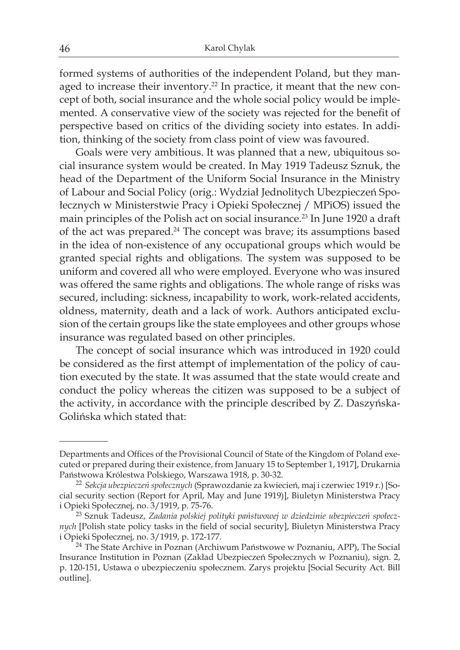formed systems of authorities of the independent Poland, but they managed to increase their inventory.<sup>22</sup> In practice, it meant that the new concept of both, social insurance and the whole social policy would be implemented. A conservative view of the society was rejected for the benefit of perspective based on critics of the dividing society into estates. In addition, thinking of the society from class point of view was favoured.

Goals were very ambitious. It was planned that a new, ubiquitous social insurance system would be created. In May 1919 Tadeusz Sznuk, the head of the Department of the Uniform Social Insurance in the Ministry of Labour and Social Policy (orig.: Wydział Jednolitych Ubezpieczeń Społecznych w Ministerstwie Pracy i Opieki Społecznej / MPiOS) issued the main principles of the Polish act on social insurance.23 In June 1920 a draft of the act was prepared.24 The concept was brave; its assumptions based in the idea of non-existence of any occupational groups which would be granted special rights and obligations. The system was supposed to be uniform and covered all who were employed. Everyone who was insured was offered the same rights and obligations. The whole range of risks was secured, including: sickness, incapability to work, work-related accidents, oldness, maternity, death and a lack of work. Authors anticipated exclusion of the certain groups like the state employees and other groups whose insurance was regulated based on other principles.

The concept of social insurance which was introduced in 1920 could be considered as the first attempt of implementation of the policy of caution executed by the state. It was assumed that the state would create and conduct the policy whereas the citizen was supposed to be a subject of the activity, in accordance with the principle described by Z. Daszyńska-Golińska which stated that:

Departments and Offices of the Provisional Council of State of the Kingdom of Poland executed or prepared during their existence, from January 15 to September 1, 1917], Drukarnia Państwowa Królestwa Polskiego, Warszawa 1918, p. 30-32.

<sup>22</sup> *Sekcja ubezpieczeń społecznych* (Sprawozdanie za kwiecień, maj i czerwiec 1919 r.) [Social security section (Report for April, May and June 1919)], Biuletyn Ministerstwa Pracy i Opieki Społecznej, no. 3/1919, p. 75-76.

<sup>23</sup> Sznuk Tadeusz, *Zadania polskiej polityki państwowej w dziedzinie ubezpieczeń społecznych* [Polish state policy tasks in the field of social security], Biuletyn Ministerstwa Pracy i Opieki Społecznej, no. 3/1919, p. 172-177.

<sup>24</sup> The State Archive in Poznan (Archiwum Państwowe w Poznaniu, APP), The Social Insurance Institution in Poznan (Zakład Ubezpieczeń Społecznych w Poznaniu), sign. 2, p. 120-151, Ustawa o ubezpieczeniu społecznem. Zarys projektu [Social Security Act. Bill outline].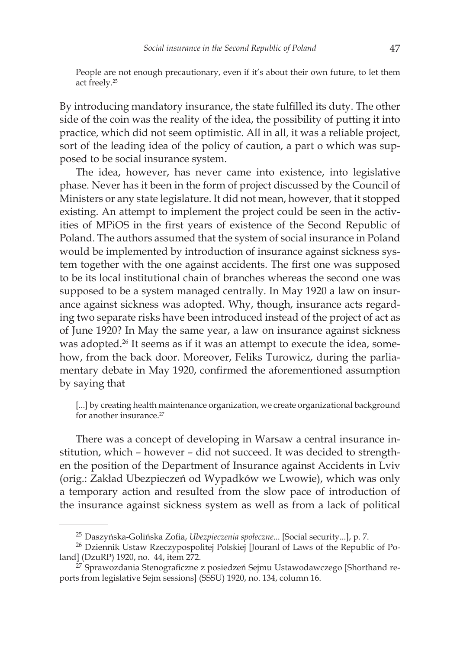People are not enough precautionary, even if it's about their own future, to let them act freely.<sup>25</sup>

By introducing mandatory insurance, the state fulfilled its duty. The other side of the coin was the reality of the idea, the possibility of putting it into practice, which did not seem optimistic. All in all, it was a reliable project, sort of the leading idea of the policy of caution, a part o which was supposed to be social insurance system.

The idea, however, has never came into existence, into legislative phase. Never has it been in the form of project discussed by the Council of Ministers or any state legislature. It did not mean, however, that it stopped existing. An attempt to implement the project could be seen in the activities of MPiOS in the first years of existence of the Second Republic of Poland. The authors assumed that the system of social insurance in Poland would be implemented by introduction of insurance against sickness system together with the one against accidents. The first one was supposed to be its local institutional chain of branches whereas the second one was supposed to be a system managed centrally. In May 1920 a law on insurance against sickness was adopted. Why, though, insurance acts regarding two separate risks have been introduced instead of the project of act as of June 1920? In May the same year, a law on insurance against sickness was adopted.<sup>26</sup> It seems as if it was an attempt to execute the idea, somehow, from the back door. Moreover, Feliks Turowicz, during the parliamentary debate in May 1920, confirmed the aforementioned assumption by saying that

[...] by creating health maintenance organization, we create organizational background for another insurance.<sup>27</sup>

There was a concept of developing in Warsaw a central insurance institution, which – however – did not succeed. It was decided to strengthen the position of the Department of Insurance against Accidents in Lviv (orig.: Zakład Ubezpieczeń od Wypadków we Lwowie), which was only a temporary action and resulted from the slow pace of introduction of the insurance against sickness system as well as from a lack of political

<sup>25</sup> Daszyńska-Golińska Zofia, *Ubezpieczenia społeczne*... [Social security...], p. 7.

<sup>26</sup> Dziennik Ustaw Rzeczypospolitej Polskiej [Jouranl of Laws of the Republic of Poland] (DzuRP) 1920, no. 44, item 272.

 $^{27}$  Sprawozdania Stenograficzne z posiedzeń Sejmu Ustawodawczego [Shorthand reports from legislative Sejm sessions] (SSSU) 1920, no. 134, column 16.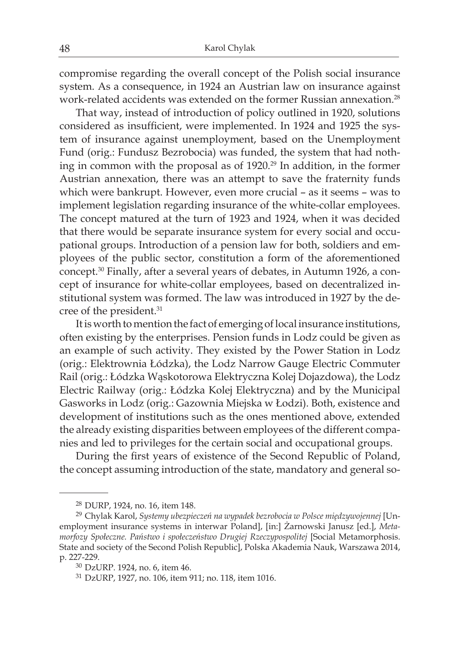compromise regarding the overall concept of the Polish social insurance system. As a consequence, in 1924 an Austrian law on insurance against work-related accidents was extended on the former Russian annexation.<sup>28</sup>

That way, instead of introduction of policy outlined in 1920, solutions considered as insufficient, were implemented. In 1924 and 1925 the system of insurance against unemployment, based on the Unemployment Fund (orig.: Fundusz Bezrobocia) was funded, the system that had nothing in common with the proposal as of 1920.<sup>29</sup> In addition, in the former Austrian annexation, there was an attempt to save the fraternity funds which were bankrupt. However, even more crucial – as it seems – was to implement legislation regarding insurance of the white-collar employees. The concept matured at the turn of 1923 and 1924, when it was decided that there would be separate insurance system for every social and occupational groups. Introduction of a pension law for both, soldiers and employees of the public sector, constitution a form of the aforementioned concept.30 Finally, after a several years of debates, in Autumn 1926, a concept of insurance for white-collar employees, based on decentralized institutional system was formed. The law was introduced in 1927 by the decree of the president.<sup>31</sup>

It is worth to mention the fact of emerging of local insurance institutions, often existing by the enterprises. Pension funds in Lodz could be given as an example of such activity. They existed by the Power Station in Lodz (orig.: Elektrownia Łódzka), the Lodz Narrow Gauge Electric Commuter Rail (orig.: Łódzka Wąskotorowa Elektryczna Kolej Dojazdowa), the Lodz Electric Railway (orig.: Łódzka Kolej Elektryczna) and by the Municipal Gasworks in Lodz (orig.: Gazownia Miejska w Łodzi). Both, existence and development of institutions such as the ones mentioned above, extended the already existing disparities between employees of the different companies and led to privileges for the certain social and occupational groups.

During the first years of existence of the Second Republic of Poland, the concept assuming introduction of the state, mandatory and general so-

<sup>28</sup> DURP, 1924, no. 16, item 148.

<sup>29</sup> Chylak Karol, *Systemy ubezpieczeń na wypadek bezrobocia w Polsce międzywojennej* [Unemployment insurance systems in interwar Poland], [in:] Żarnowski Janusz [ed.], *Metamorfozy Społeczne. Państwo i społeczeństwo Drugiej Rzeczypospolitej* [Social Metamorphosis. State and society of the Second Polish Republic], Polska Akademia Nauk, Warszawa 2014, p. 227-229.

<sup>30</sup> DzURP. 1924, no. 6, item 46.

<sup>31</sup> DzURP, 1927, no. 106, item 911; no. 118, item 1016.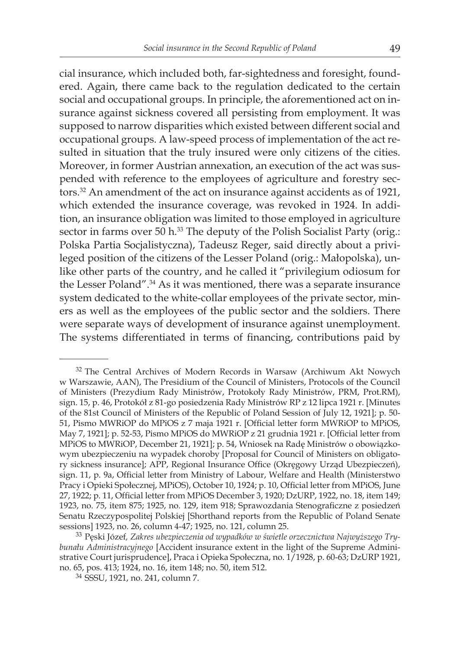cial insurance, which included both, far-sightedness and foresight, foundered. Again, there came back to the regulation dedicated to the certain social and occupational groups. In principle, the aforementioned act on insurance against sickness covered all persisting from employment. It was supposed to narrow disparities which existed between different social and occupational groups. A law-speed process of implementation of the act resulted in situation that the truly insured were only citizens of the cities. Moreover, in former Austrian annexation, an execution of the act was suspended with reference to the employees of agriculture and forestry sectors.<sup>32</sup> An amendment of the act on insurance against accidents as of 1921, which extended the insurance coverage, was revoked in 1924. In addition, an insurance obligation was limited to those employed in agriculture sector in farms over 50 h.<sup>33</sup> The deputy of the Polish Socialist Party (orig.: Polska Partia Socjalistyczna), Tadeusz Reger, said directly about a privileged position of the citizens of the Lesser Poland (orig.: Małopolska), unlike other parts of the country, and he called it "privilegium odiosum for the Lesser Poland".<sup>34</sup> As it was mentioned, there was a separate insurance system dedicated to the white-collar employees of the private sector, miners as well as the employees of the public sector and the soldiers. There were separate ways of development of insurance against unemployment. The systems differentiated in terms of financing, contributions paid by

<sup>&</sup>lt;sup>32</sup> The Central Archives of Modern Records in Warsaw (Archiwum Akt Nowych w Warszawie, AAN), The Presidium of the Council of Ministers, Protocols of the Council of Ministers (Prezydium Rady Ministrów, Protokoły Rady Ministrów, PRM, Prot.RM), sign. 15, p. 46, Protokół z 81-go posiedzenia Rady Ministrów RP z 12 lipca 1921 r. [Minutes of the 81st Council of Ministers of the Republic of Poland Session of July 12, 1921]; p. 50- 51, Pismo MWRiOP do MPiOS z 7 maja 1921 r. [Official letter form MWRiOP to MPiOS, May 7, 1921]; p. 52-53, Pismo MPiOS do MWRiOP z 21 grudnia 1921 r. [Official letter from MPiOS to MWRiOP, December 21, 1921]; p. 54, Wniosek na Radę Ministrów o obowiązkowym ubezpieczeniu na wypadek choroby [Proposal for Council of Ministers on obligatory sickness insurance]; APP, Regional Insurance Office (Okręgowy Urząd Ubezpieczeń), sign. 11, p. 9a, Official letter from Ministry of Labour, Welfare and Health (Ministerstwo Pracy i Opieki Społecznej, MPiOS), October 10, 1924; p. 10, Official letter from MPiOS, June 27, 1922; p. 11, Official letter from MPiOS December 3, 1920; DzURP, 1922, no. 18, item 149; 1923, no. 75, item 875; 1925, no. 129, item 918; Sprawozdania Stenograficzne z posiedzeń Senatu Rzeczypospolitej Polskiej [Shorthand reports from the Republic of Poland Senate sessions] 1923, no. 26, column 4-47; 1925, no. 121, column 25.

<sup>33</sup> Pęski Józef*, Zakres ubezpieczenia od wypadków w świetle orzecznictwa Najwyższego Trybunału Administracyjnego* [Accident insurance extent in the light of the Supreme Administrative Court jurisprudence], Praca i Opieka Społeczna, no. 1/1928, p. 60-63; DzURP 1921, no. 65, pos. 413; 1924, no. 16, item 148; no. 50, item 512.

<sup>34</sup> SSSU, 1921, no. 241, column 7.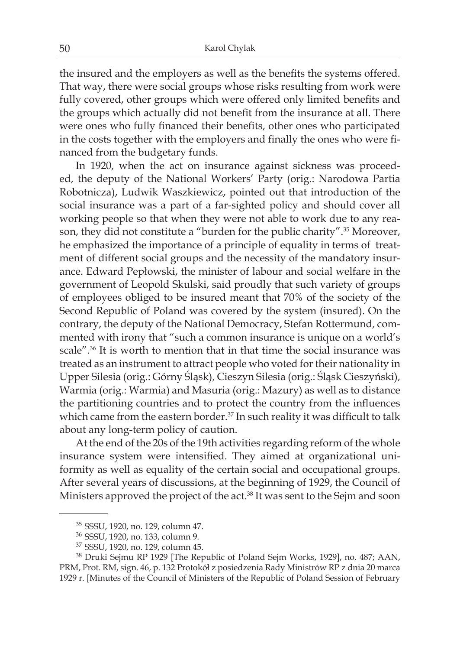the insured and the employers as well as the benefits the systems offered. That way, there were social groups whose risks resulting from work were fully covered, other groups which were offered only limited benefits and the groups which actually did not benefit from the insurance at all. There were ones who fully financed their benefits, other ones who participated in the costs together with the employers and finally the ones who were financed from the budgetary funds.

In 1920, when the act on insurance against sickness was proceeded, the deputy of the National Workers' Party (orig.: Narodowa Partia Robotnicza), Ludwik Waszkiewicz, pointed out that introduction of the social insurance was a part of a far-sighted policy and should cover all working people so that when they were not able to work due to any reason, they did not constitute a "burden for the public charity".<sup>35</sup> Moreover, he emphasized the importance of a principle of equality in terms of treatment of different social groups and the necessity of the mandatory insurance. Edward Pepłowski, the minister of labour and social welfare in the government of Leopold Skulski, said proudly that such variety of groups of employees obliged to be insured meant that 70% of the society of the Second Republic of Poland was covered by the system (insured). On the contrary, the deputy of the National Democracy, Stefan Rottermund, commented with irony that "such a common insurance is unique on a world's scale".<sup>36</sup> It is worth to mention that in that time the social insurance was treated as an instrument to attract people who voted for their nationality in Upper Silesia (orig.: Górny Śląsk), Cieszyn Silesia (orig.: Śląsk Cieszyński), Warmia (orig.: Warmia) and Masuria (orig.: Mazury) as well as to distance the partitioning countries and to protect the country from the influences which came from the eastern border.<sup>37</sup> In such reality it was difficult to talk about any long-term policy of caution.

At the end of the 20s of the 19th activities regarding reform of the whole insurance system were intensified. They aimed at organizational uniformity as well as equality of the certain social and occupational groups. After several years of discussions, at the beginning of 1929, the Council of Ministers approved the project of the act.<sup>38</sup> It was sent to the Sejm and soon

<sup>35</sup> SSSU, 1920, no. 129, column 47.

<sup>36</sup> SSSU, 1920, no. 133, column 9.

<sup>37</sup> SSSU, 1920, no. 129, column 45.

<sup>38</sup> Druki Sejmu RP 1929 [The Republic of Poland Sejm Works, 1929], no. 487; AAN, PRM, Prot. RM, sign. 46, p. 132 Protokół z posiedzenia Rady Ministrów RP z dnia 20 marca 1929 r. [Minutes of the Council of Ministers of the Republic of Poland Session of February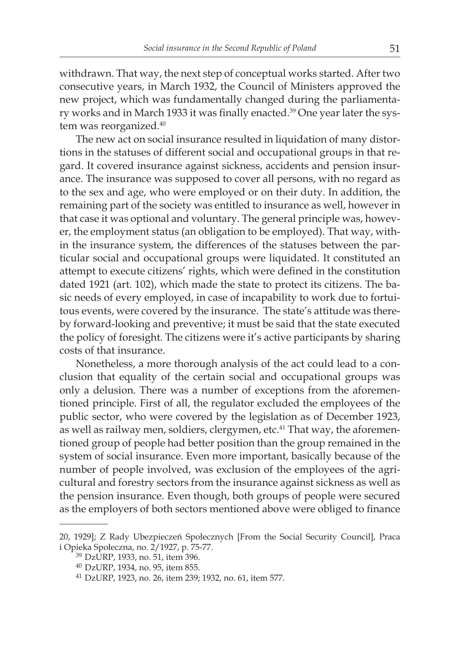withdrawn. That way, the next step of conceptual works started. After two consecutive years, in March 1932, the Council of Ministers approved the new project, which was fundamentally changed during the parliamentary works and in March 1933 it was finally enacted.39 One year later the system was reorganized.<sup>40</sup>

The new act on social insurance resulted in liquidation of many distortions in the statuses of different social and occupational groups in that regard. It covered insurance against sickness, accidents and pension insurance. The insurance was supposed to cover all persons, with no regard as to the sex and age, who were employed or on their duty. In addition, the remaining part of the society was entitled to insurance as well, however in that case it was optional and voluntary. The general principle was, however, the employment status (an obligation to be employed). That way, within the insurance system, the differences of the statuses between the particular social and occupational groups were liquidated. It constituted an attempt to execute citizens' rights, which were defined in the constitution dated 1921 (art. 102), which made the state to protect its citizens. The basic needs of every employed, in case of incapability to work due to fortuitous events, were covered by the insurance. The state's attitude was thereby forward-looking and preventive; it must be said that the state executed the policy of foresight. The citizens were it's active participants by sharing costs of that insurance.

Nonetheless, a more thorough analysis of the act could lead to a conclusion that equality of the certain social and occupational groups was only a delusion. There was a number of exceptions from the aforementioned principle. First of all, the regulator excluded the employees of the public sector, who were covered by the legislation as of December 1923, as well as railway men, soldiers, clergymen, etc.<sup>41</sup> That way, the aforementioned group of people had better position than the group remained in the system of social insurance. Even more important, basically because of the number of people involved, was exclusion of the employees of the agricultural and forestry sectors from the insurance against sickness as well as the pension insurance. Even though, both groups of people were secured as the employers of both sectors mentioned above were obliged to finance

<sup>20, 1929];</sup> Z Rady Ubezpieczeń Społecznych [From the Social Security Council], Praca i Opieka Społeczna, no. 2/1927, p. 75-77.

<sup>39</sup> DzURP, 1933, no. 51, item 396.

<sup>40</sup> DzURP, 1934, no. 95, item 855.

<sup>41</sup> DzURP, 1923, no. 26, item 239; 1932, no. 61, item 577.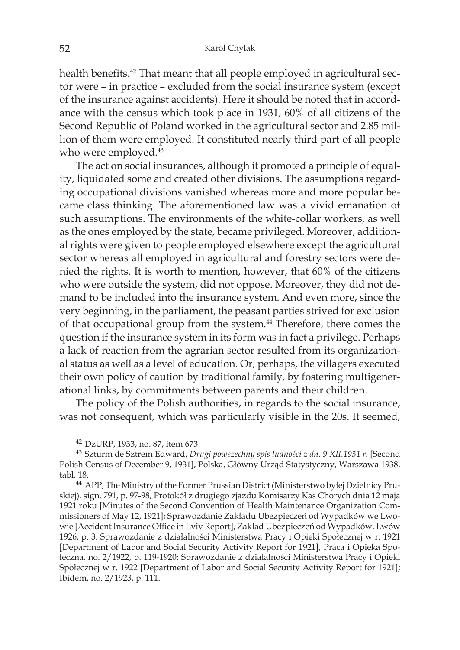health benefits.<sup>42</sup> That meant that all people employed in agricultural sector were – in practice – excluded from the social insurance system (except of the insurance against accidents). Here it should be noted that in accordance with the census which took place in 1931, 60% of all citizens of the Second Republic of Poland worked in the agricultural sector and 2.85 million of them were employed. It constituted nearly third part of all people who were employed.<sup>43</sup>

The act on social insurances, although it promoted a principle of equality, liquidated some and created other divisions. The assumptions regarding occupational divisions vanished whereas more and more popular became class thinking. The aforementioned law was a vivid emanation of such assumptions. The environments of the white-collar workers, as well as the ones employed by the state, became privileged. Moreover, additional rights were given to people employed elsewhere except the agricultural sector whereas all employed in agricultural and forestry sectors were denied the rights. It is worth to mention, however, that 60% of the citizens who were outside the system, did not oppose. Moreover, they did not demand to be included into the insurance system. And even more, since the very beginning, in the parliament, the peasant parties strived for exclusion of that occupational group from the system.<sup>44</sup> Therefore, there comes the question if the insurance system in its form was in fact a privilege. Perhaps a lack of reaction from the agrarian sector resulted from its organizational status as well as a level of education. Or, perhaps, the villagers executed their own policy of caution by traditional family, by fostering multigenerational links, by commitments between parents and their children.

The policy of the Polish authorities, in regards to the social insurance, was not consequent, which was particularly visible in the 20s. It seemed,

<sup>42</sup> DzURP, 1933, no. 87, item 673.

<sup>43</sup> Szturm de Sztrem Edward, *Drugi powszechny spis ludności z dn. 9.XII.1931 r.* [Second Polish Census of December 9, 1931], Polska, Główny Urząd Statystyczny, Warszawa 1938, tabl. 18.

<sup>44</sup> APP, The Ministry of the Former Prussian District (Ministerstwo byłej Dzielnicy Pruskiej). sign. 791, p. 97-98, Protokół z drugiego zjazdu Komisarzy Kas Chorych dnia 12 maja 1921 roku [Minutes of the Second Convention of Health Maintenance Organization Commissioners of May 12, 1921]; Sprawozdanie Zakładu Ubezpieczeń od Wypadków we Lwowie [Accident Insurance Office in Lviv Report], Zaklad Ubezpieczeń od Wypadków, Lwów 1926, p. 3; Sprawozdanie z działalności Ministerstwa Pracy i Opieki Społecznej w r. 1921 [Department of Labor and Social Security Activity Report for 1921], Praca i Opieka Społeczna, no. 2/1922, p. 119-1920; Sprawozdanie z działalności Ministerstwa Pracy i Opieki Społecznej w r. 1922 [Department of Labor and Social Security Activity Report for 1921]; Ibidem, no. 2/1923, p. 111.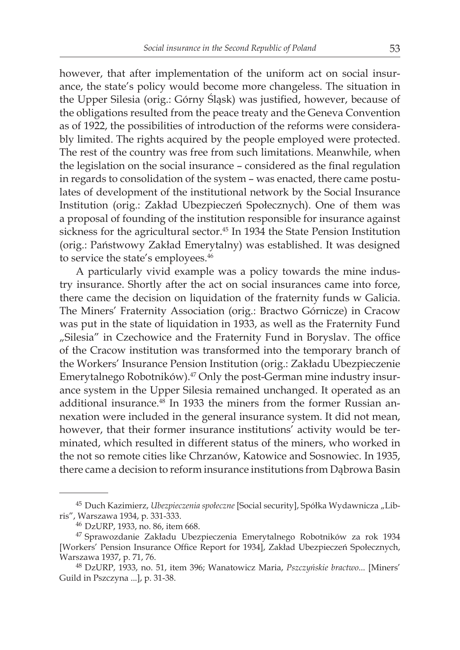however, that after implementation of the uniform act on social insurance, the state's policy would become more changeless. The situation in the Upper Silesia (orig.: Górny Śląsk) was justified, however, because of the obligations resulted from the peace treaty and the Geneva Convention as of 1922, the possibilities of introduction of the reforms were considerably limited. The rights acquired by the people employed were protected. The rest of the country was free from such limitations. Meanwhile, when the legislation on the social insurance – considered as the final regulation in regards to consolidation of the system – was enacted, there came postulates of development of the institutional network by the Social Insurance Institution (orig.: Zakład Ubezpieczeń Społecznych). One of them was a proposal of founding of the institution responsible for insurance against sickness for the agricultural sector.<sup>45</sup> In 1934 the State Pension Institution (orig.: Państwowy Zakład Emerytalny) was established. It was designed to service the state's employees.<sup>46</sup>

A particularly vivid example was a policy towards the mine industry insurance. Shortly after the act on social insurances came into force, there came the decision on liquidation of the fraternity funds w Galicia. The Miners' Fraternity Association (orig.: Bractwo Górnicze) in Cracow was put in the state of liquidation in 1933, as well as the Fraternity Fund "Silesia" in Czechowice and the Fraternity Fund in Boryslav. The office of the Cracow institution was transformed into the temporary branch of the Workers' Insurance Pension Institution (orig.: Zakładu Ubezpieczenie Emerytalnego Robotników).47 Only the post-German mine industry insurance system in the Upper Silesia remained unchanged. It operated as an additional insurance.48 In 1933 the miners from the former Russian annexation were included in the general insurance system. It did not mean, however, that their former insurance institutions' activity would be terminated, which resulted in different status of the miners, who worked in the not so remote cities like Chrzanów, Katowice and Sosnowiec. In 1935, there came a decision to reform insurance institutions from Dąbrowa Basin

<sup>&</sup>lt;sup>45</sup> Duch Kazimierz, *Ubezpieczenia społeczne* [Social security], Spółka Wydawnicza "Libris", Warszawa 1934, p. 331-333.

<sup>46</sup> DzURP, 1933, no. 86, item 668.

<sup>47</sup> Sprawozdanie Zakładu Ubezpieczenia Emerytalnego Robotników za rok 1934 [Workers' Pension Insurance Office Report for 1934], Zakład Ubezpieczeń Społecznych, Warszawa 1937, p. 71, 76.

<sup>48</sup> DzURP, 1933, no. 51, item 396; Wanatowicz Maria, *Pszczyńskie bractwo*... [Miners' Guild in Pszczyna ...], p. 31-38.